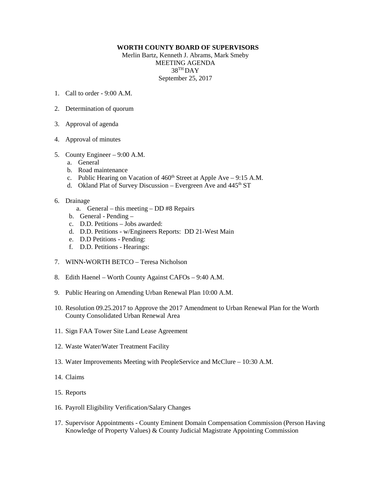## **WORTH COUNTY BOARD OF SUPERVISORS**

Merlin Bartz, Kenneth J. Abrams, Mark Smeby MEETING AGENDA 38TH DAY September 25, 2017

- 1. Call to order  $9.00 \text{ A M}$
- 2. Determination of quorum
- 3. Approval of agenda
- 4. Approval of minutes
- 5. County Engineer 9:00 A.M.
	- a. General
	- b. Road maintenance
	- c. Public Hearing on Vacation of  $460<sup>th</sup>$  Street at Apple Ave 9:15 A.M.
	- d. Okland Plat of Survey Discussion Evergreen Ave and  $445<sup>th</sup> ST$
- 6. Drainage
	- a. General this meeting DD #8 Repairs
	- b. General Pending –
	- c. D.D. Petitions Jobs awarded:
	- d. D.D. Petitions w/Engineers Reports: DD 21-West Main
	- e. D.D Petitions Pending:
	- f. D.D. Petitions Hearings:
- 7. WINN-WORTH BETCO Teresa Nicholson
- 8. Edith Haenel Worth County Against CAFOs 9:40 A.M.
- 9. Public Hearing on Amending Urban Renewal Plan 10:00 A.M.
- 10. Resolution 09.25.2017 to Approve the 2017 Amendment to Urban Renewal Plan for the Worth County Consolidated Urban Renewal Area
- 11. Sign FAA Tower Site Land Lease Agreement
- 12. Waste Water/Water Treatment Facility
- 13. Water Improvements Meeting with PeopleService and McClure 10:30 A.M.
- 14. Claims
- 15. Reports
- 16. Payroll Eligibility Verification/Salary Changes
- 17. Supervisor Appointments County Eminent Domain Compensation Commission (Person Having Knowledge of Property Values) & County Judicial Magistrate Appointing Commission